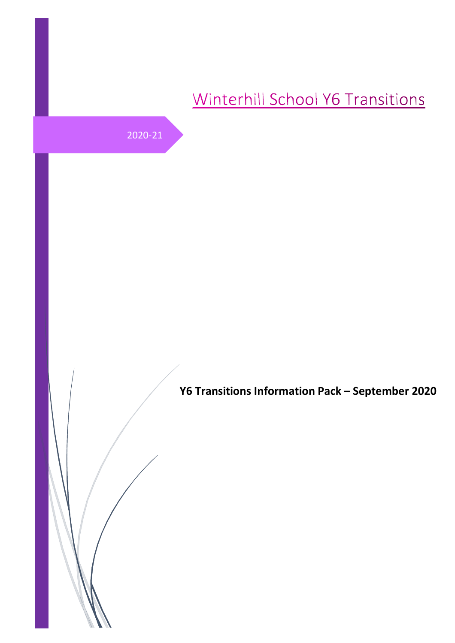# Winterhill School Y6 Transitions

2020-21

**Y6 Transitions Information Pack – September 2020**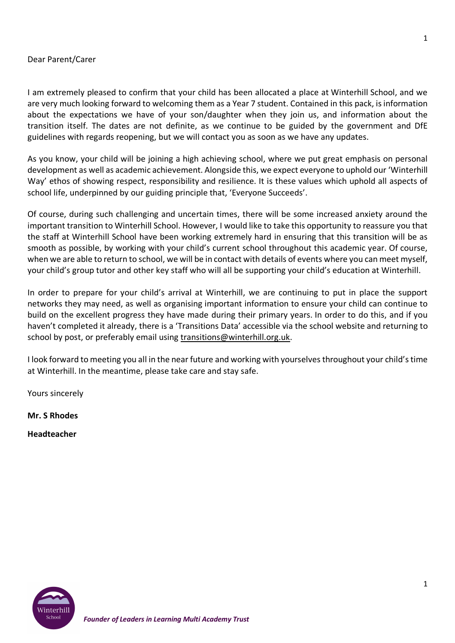## Dear Parent/Carer

I am extremely pleased to confirm that your child has been allocated a place at Winterhill School, and we are very much looking forward to welcoming them as a Year 7 student. Contained in this pack, is information about the expectations we have of your son/daughter when they join us, and information about the transition itself. The dates are not definite, as we continue to be guided by the government and DfE guidelines with regards reopening, but we will contact you as soon as we have any updates.

As you know, your child will be joining a high achieving school, where we put great emphasis on personal development as well as academic achievement. Alongside this, we expect everyone to uphold our 'Winterhill Way' ethos of showing respect, responsibility and resilience. It is these values which uphold all aspects of school life, underpinned by our guiding principle that, 'Everyone Succeeds'.

Of course, during such challenging and uncertain times, there will be some increased anxiety around the important transition to Winterhill School. However, I would like to take this opportunity to reassure you that the staff at Winterhill School have been working extremely hard in ensuring that this transition will be as smooth as possible, by working with your child's current school throughout this academic year. Of course, when we are able to return to school, we will be in contact with details of events where you can meet myself, your child's group tutor and other key staff who will all be supporting your child's education at Winterhill.

In order to prepare for your child's arrival at Winterhill, we are continuing to put in place the support networks they may need, as well as organising important information to ensure your child can continue to build on the excellent progress they have made during their primary years. In order to do this, and if you haven't completed it already, there is a 'Transitions Data' accessible via the school website and returning to school by post, or preferably email using transitions@winterhill.org.uk.

I look forward to meeting you all in the near future and working with yourselves throughout your child's time at Winterhill. In the meantime, please take care and stay safe.

Yours sincerely

**Mr. S Rhodes**

**Headteacher**

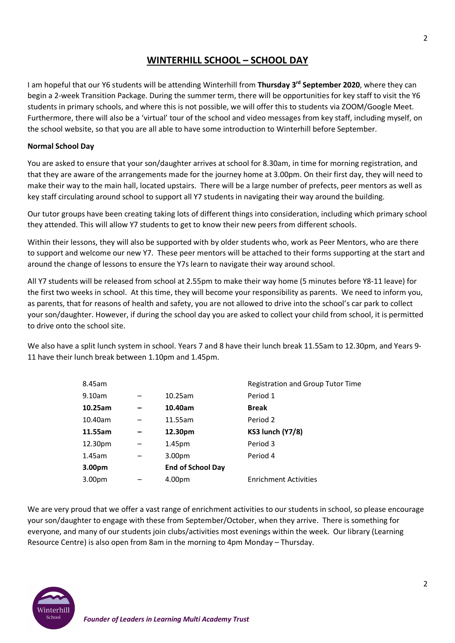## **WINTERHILL SCHOOL – SCHOOL DAY**

I am hopeful that our Y6 students will be attending Winterhill from **Thursday 3rd September 2020**, where they can begin a 2-week Transition Package. During the summer term, there will be opportunities for key staff to visit the Y6 students in primary schools, and where this is not possible, we will offer this to students via ZOOM/Google Meet. Furthermore, there will also be a 'virtual' tour of the school and video messages from key staff, including myself, on the school website, so that you are all able to have some introduction to Winterhill before September.

#### **Normal School Day**

You are asked to ensure that your son/daughter arrives at school for 8.30am, in time for morning registration, and that they are aware of the arrangements made for the journey home at 3.00pm. On their first day, they will need to make their way to the main hall, located upstairs. There will be a large number of prefects, peer mentors as well as key staff circulating around school to support all Y7 students in navigating their way around the building.

Our tutor groups have been creating taking lots of different things into consideration, including which primary school they attended. This will allow Y7 students to get to know their new peers from different schools.

Within their lessons, they will also be supported with by older students who, work as Peer Mentors, who are there to support and welcome our new Y7. These peer mentors will be attached to their forms supporting at the start and around the change of lessons to ensure the Y7s learn to navigate their way around school.

All Y7 students will be released from school at 2.55pm to make their way home (5 minutes before Y8-11 leave) for the first two weeks in school. At this time, they will become your responsibility as parents. We need to inform you, as parents, that for reasons of health and safety, you are not allowed to drive into the school's car park to collect your son/daughter. However, if during the school day you are asked to collect your child from school, it is permitted to drive onto the school site.

We also have a split lunch system in school. Years 7 and 8 have their lunch break 11.55am to 12.30pm, and Years 9- 11 have their lunch break between 1.10pm and 1.45pm.

| 8.45am             |                          | Registration and Group Tutor Time |
|--------------------|--------------------------|-----------------------------------|
| 9.10am             | 10.25am                  | Period 1                          |
| 10.25am            | 10.40am                  | <b>Break</b>                      |
| 10.40am            | 11.55am                  | Period 2                          |
| 11.55am            | 12.30pm                  | <b>KS3 lunch (Y7/8)</b>           |
| 12.30pm            | 1.45 <sub>pm</sub>       | Period 3                          |
| $1.45$ am          | 3.00 <sub>pm</sub>       | Period 4                          |
| 3.00 <sub>pm</sub> | <b>End of School Day</b> |                                   |
| 3.00pm             | 4.00pm                   | <b>Enrichment Activities</b>      |
|                    |                          |                                   |

We are very proud that we offer a vast range of enrichment activities to our students in school, so please encourage your son/daughter to engage with these from September/October, when they arrive. There is something for everyone, and many of our students join clubs/activities most evenings within the week. Our library (Learning Resource Centre) is also open from 8am in the morning to 4pm Monday – Thursday.



2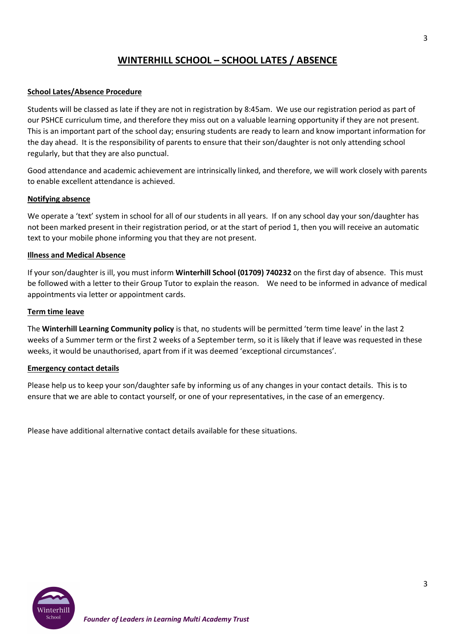# **WINTERHILL SCHOOL – SCHOOL LATES / ABSENCE**

#### **School Lates/Absence Procedure**

Students will be classed as late if they are not in registration by 8:45am. We use our registration period as part of our PSHCE curriculum time, and therefore they miss out on a valuable learning opportunity if they are not present. This is an important part of the school day; ensuring students are ready to learn and know important information for the day ahead. It is the responsibility of parents to ensure that their son/daughter is not only attending school regularly, but that they are also punctual.

Good attendance and academic achievement are intrinsically linked, and therefore, we will work closely with parents to enable excellent attendance is achieved.

#### **Notifying absence**

We operate a 'text' system in school for all of our students in all years. If on any school day your son/daughter has not been marked present in their registration period, or at the start of period 1, then you will receive an automatic text to your mobile phone informing you that they are not present.

#### **Illness and Medical Absence**

If your son/daughter is ill, you must inform **Winterhill School (01709) 740232** on the first day of absence. This must be followed with a letter to their Group Tutor to explain the reason. We need to be informed in advance of medical appointments via letter or appointment cards.

#### **Term time leave**

The **Winterhill Learning Community policy** is that, no students will be permitted 'term time leave' in the last 2 weeks of a Summer term or the first 2 weeks of a September term, so it is likely that if leave was requested in these weeks, it would be unauthorised, apart from if it was deemed 'exceptional circumstances'.

#### **Emergency contact details**

Please help us to keep your son/daughter safe by informing us of any changes in your contact details. This is to ensure that we are able to contact yourself, or one of your representatives, in the case of an emergency.

Please have additional alternative contact details available for these situations.

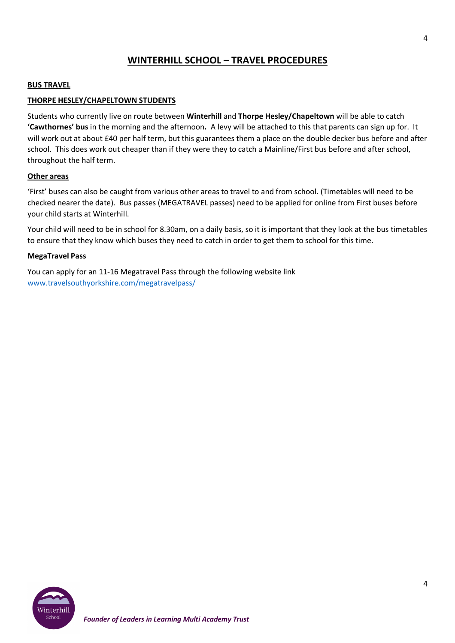# **WINTERHILL SCHOOL – TRAVEL PROCEDURES**

#### **BUS TRAVEL**

#### **THORPE HESLEY/CHAPELTOWN STUDENTS**

Students who currently live on route between **Winterhill** and **Thorpe Hesley/Chapeltown** will be able to catch **'Cawthornes' bus** in the morning and the afternoon**.** A levy will be attached to this that parents can sign up for. It will work out at about £40 per half term, but this guarantees them a place on the double decker bus before and after school. This does work out cheaper than if they were they to catch a Mainline/First bus before and after school, throughout the half term.

#### **Other areas**

'First' buses can also be caught from various other areas to travel to and from school. (Timetables will need to be checked nearer the date). Bus passes (MEGATRAVEL passes) need to be applied for online from First buses before your child starts at Winterhill.

Your child will need to be in school for 8.30am, on a daily basis, so it is important that they look at the bus timetables to ensure that they know which buses they need to catch in order to get them to school for this time.

#### **MegaTravel Pass**

You can apply for an 11-16 Megatravel Pass through the following website link www.travelsouthyorkshire.com/megatravelpass/

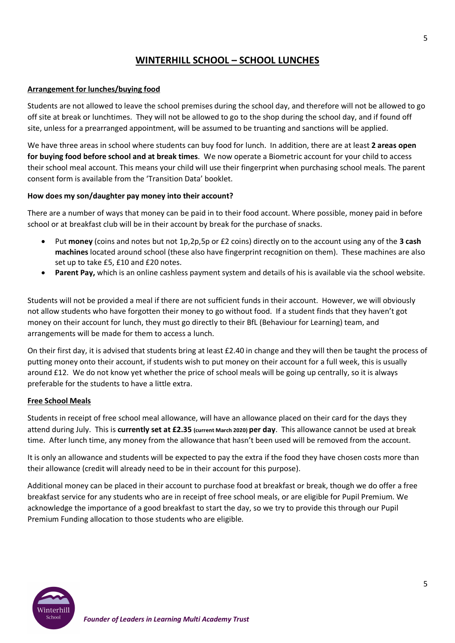# **WINTERHILL SCHOOL – SCHOOL LUNCHES**

#### **Arrangement for lunches/buying food**

Students are not allowed to leave the school premises during the school day, and therefore will not be allowed to go off site at break or lunchtimes. They will not be allowed to go to the shop during the school day, and if found off site, unless for a prearranged appointment, will be assumed to be truanting and sanctions will be applied.

We have three areas in school where students can buy food for lunch. In addition, there are at least **2 areas open for buying food before school and at break times**. We now operate a Biometric account for your child to access their school meal account. This means your child will use their fingerprint when purchasing school meals. The parent consent form is available from the 'Transition Data' booklet.

#### **How does my son/daughter pay money into their account?**

There are a number of ways that money can be paid in to their food account. Where possible, money paid in before school or at breakfast club will be in their account by break for the purchase of snacks.

- Put **money** (coins and notes but not 1p,2p,5p or £2 coins) directly on to the account using any of the **3 cash machines** located around school (these also have fingerprint recognition on them). These machines are also set up to take £5, £10 and £20 notes.
- **Parent Pay,** which is an online cashless payment system and details of his is available via the school website.

Students will not be provided a meal if there are not sufficient funds in their account. However, we will obviously not allow students who have forgotten their money to go without food. If a student finds that they haven't got money on their account for lunch, they must go directly to their BfL (Behaviour for Learning) team, and arrangements will be made for them to access a lunch.

On their first day, it is advised that students bring at least £2.40 in change and they will then be taught the process of putting money onto their account, if students wish to put money on their account for a full week, this is usually around £12. We do not know yet whether the price of school meals will be going up centrally, so it is always preferable for the students to have a little extra.

#### **Free School Meals**

Students in receipt of free school meal allowance, will have an allowance placed on their card for the days they attend during July. This is **currently set at £2.35 (current March 2020) per day**. This allowance cannot be used at break time. After lunch time, any money from the allowance that hasn't been used will be removed from the account.

It is only an allowance and students will be expected to pay the extra if the food they have chosen costs more than their allowance (credit will already need to be in their account for this purpose).

Additional money can be placed in their account to purchase food at breakfast or break, though we do offer a free breakfast service for any students who are in receipt of free school meals, or are eligible for Pupil Premium. We acknowledge the importance of a good breakfast to start the day, so we try to provide this through our Pupil Premium Funding allocation to those students who are eligible.

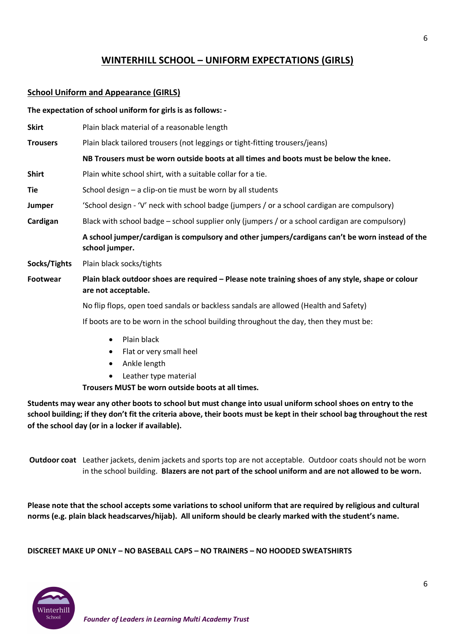# **WINTERHILL SCHOOL – UNIFORM EXPECTATIONS (GIRLS)**

## **School Uniform and Appearance (GIRLS)**

## **The expectation of school uniform for girls is as follows: -**

**Skirt** Plain black material of a reasonable length **Trousers** Plain black tailored trousers (not leggings or tight-fitting trousers/jeans) **NB Trousers must be worn outside boots at all times and boots must be below the knee. Shirt** Plain white school shirt, with a suitable collar for a tie. Tie School design – a clip-on tie must be worn by all students **Jumper** 'School design - 'V' neck with school badge (jumpers / or a school cardigan are compulsory) **Cardigan** Black with school badge – school supplier only (jumpers / or a school cardigan are compulsory) **A school jumper/cardigan is compulsory and other jumpers/cardigans can't be worn instead of the school jumper. Socks/Tights** Plain black socks/tights **Footwear Plain black outdoor shoes are required – Please note training shoes of any style, shape or colour are not acceptable.**

No flip flops, open toed sandals or backless sandals are allowed (Health and Safety)

If boots are to be worn in the school building throughout the day, then they must be:

- Plain black
- Flat or very small heel
- Ankle length
- Leather type material

**Trousers MUST be worn outside boots at all times.**

**Students may wear any other boots to school but must change into usual uniform school shoes on entry to the school building; if they don't fit the criteria above, their boots must be kept in their school bag throughout the rest of the school day (or in a locker if available).**

**Outdoor coat** Leather jackets, denim jackets and sports top are not acceptable. Outdoor coats should not be worn in the school building. **Blazers are not part of the school uniform and are not allowed to be worn.**

**Please note that the school accepts some variations to school uniform that are required by religious and cultural norms (e.g. plain black headscarves/hijab). All uniform should be clearly marked with the student's name.**

**DISCREET MAKE UP ONLY – NO BASEBALL CAPS – NO TRAINERS – NO HOODED SWEATSHIRTS**



6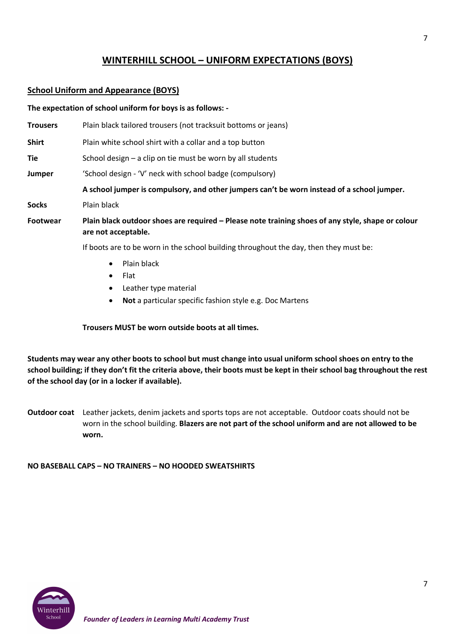# **WINTERHILL SCHOOL – UNIFORM EXPECTATIONS (BOYS)**

## **School Uniform and Appearance (BOYS)**

|                 | The expectation of school uniform for boys is as follows: -                                                              |  |  |
|-----------------|--------------------------------------------------------------------------------------------------------------------------|--|--|
| <b>Trousers</b> | Plain black tailored trousers (not tracksuit bottoms or jeans)                                                           |  |  |
| <b>Shirt</b>    | Plain white school shirt with a collar and a top button                                                                  |  |  |
| Tie             | School design - a clip on tie must be worn by all students                                                               |  |  |
| Jumper          | 'School design - 'V' neck with school badge (compulsory)                                                                 |  |  |
|                 | A school jumper is compulsory, and other jumpers can't be worn instead of a school jumper.                               |  |  |
| <b>Socks</b>    | Plain black                                                                                                              |  |  |
| Footwear        | Plain black outdoor shoes are required – Please note training shoes of any style, shape or colour<br>are not acceptable. |  |  |
|                 | If boots are to be worn in the school building throughout the day, then they must be:                                    |  |  |
|                 | Plain black<br>$\bullet$                                                                                                 |  |  |

- Flat
- Leather type material
- **Not** a particular specific fashion style e.g. Doc Martens

**Trousers MUST be worn outside boots at all times.**

**Students may wear any other boots to school but must change into usual uniform school shoes on entry to the school building; if they don't fit the criteria above, their boots must be kept in their school bag throughout the rest of the school day (or in a locker if available).**

**Outdoor coat** Leather jackets, denim jackets and sports tops are not acceptable. Outdoor coats should not be worn in the school building. **Blazers are not part of the school uniform and are not allowed to be worn.**

**NO BASEBALL CAPS – NO TRAINERS – NO HOODED SWEATSHIRTS**

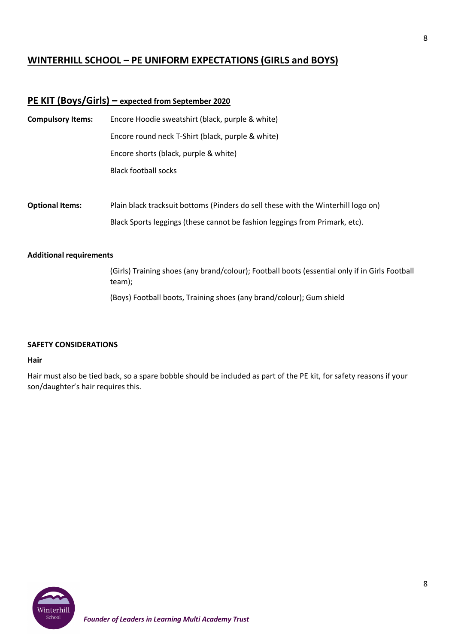# **WINTERHILL SCHOOL – PE UNIFORM EXPECTATIONS (GIRLS and BOYS)**

## **PE KIT (Boys/Girls) – expected from September 2020**

| <b>Compulsory Items:</b> | Encore Hoodie sweatshirt (black, purple & white)<br>Encore round neck T-Shirt (black, purple & white) |  |  |
|--------------------------|-------------------------------------------------------------------------------------------------------|--|--|
|                          |                                                                                                       |  |  |
|                          | Encore shorts (black, purple & white)                                                                 |  |  |
|                          | <b>Black football socks</b>                                                                           |  |  |
|                          |                                                                                                       |  |  |
| <b>Optional Items:</b>   | Plain black tracksuit bottoms (Pinders do sell these with the Winterhill logo on)                     |  |  |
|                          | Black Sports leggings (these cannot be fashion leggings from Primark, etc).                           |  |  |
|                          |                                                                                                       |  |  |

#### **Additional requirements**

(Girls) Training shoes (any brand/colour); Football boots (essential only if in Girls Football team);

(Boys) Football boots, Training shoes (any brand/colour); Gum shield

#### **SAFETY CONSIDERATIONS**

#### **Hair**

Hair must also be tied back, so a spare bobble should be included as part of the PE kit, for safety reasons if your son/daughter's hair requires this.

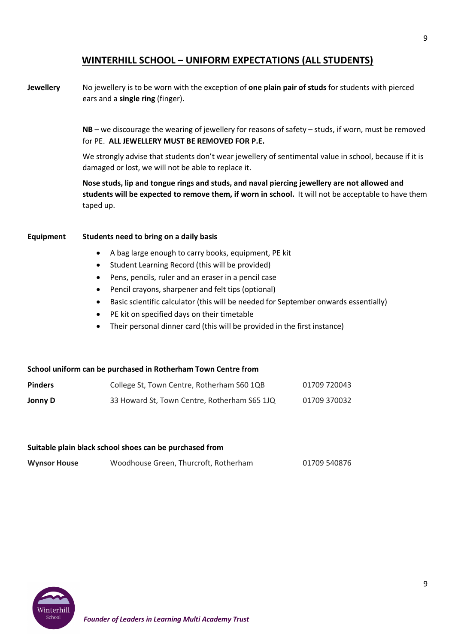## **WINTERHILL SCHOOL – UNIFORM EXPECTATIONS (ALL STUDENTS)**

**Jewellery** No jewellery is to be worn with the exception of **one plain pair of studs** for students with pierced ears and a **single ring** (finger).

> **NB** – we discourage the wearing of jewellery for reasons of safety – studs, if worn, must be removed for PE. **ALL JEWELLERY MUST BE REMOVED FOR P.E.**

> We strongly advise that students don't wear jewellery of sentimental value in school, because if it is damaged or lost, we will not be able to replace it.

**Nose studs, lip and tongue rings and studs, and naval piercing jewellery are not allowed and students will be expected to remove them, if worn in school.** It will not be acceptable to have them taped up.

#### **Equipment Students need to bring on a daily basis**

- A bag large enough to carry books, equipment, PE kit
- Student Learning Record (this will be provided)
- Pens, pencils, ruler and an eraser in a pencil case
- Pencil crayons, sharpener and felt tips (optional)
- Basic scientific calculator (this will be needed for September onwards essentially)
- PE kit on specified days on their timetable
- Their personal dinner card (this will be provided in the first instance)

#### **School uniform can be purchased in Rotherham Town Centre from**

| <b>Pinders</b> | College St, Town Centre, Rotherham S60 1QB   | 01709 720043 |
|----------------|----------------------------------------------|--------------|
| Jonny D        | 33 Howard St, Town Centre, Rotherham S65 1JQ | 01709 370032 |

#### **Suitable plain black school shoes can be purchased from**

| <b>Wynsor House</b> |  | Woodhouse Green, Thurcroft, Rotherham | 01709 540876 |
|---------------------|--|---------------------------------------|--------------|
|---------------------|--|---------------------------------------|--------------|

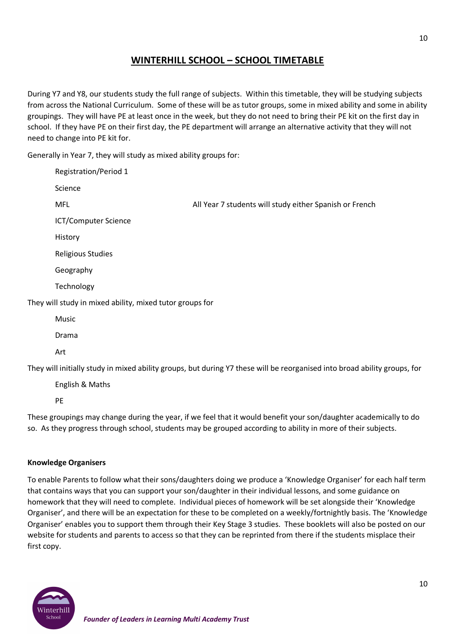# **WINTERHILL SCHOOL – SCHOOL TIMETABLE**

During Y7 and Y8, our students study the full range of subjects. Within this timetable, they will be studying subjects from across the National Curriculum. Some of these will be as tutor groups, some in mixed ability and some in ability groupings. They will have PE at least once in the week, but they do not need to bring their PE kit on the first day in school. If they have PE on their first day, the PE department will arrange an alternative activity that they will not need to change into PE kit for.

Generally in Year 7, they will study as mixed ability groups for:

| <b>Registration/Period 1</b>                             |                                                                                                                           |
|----------------------------------------------------------|---------------------------------------------------------------------------------------------------------------------------|
| Science                                                  |                                                                                                                           |
| <b>MFL</b>                                               | All Year 7 students will study either Spanish or French                                                                   |
| <b>ICT/Computer Science</b>                              |                                                                                                                           |
| History                                                  |                                                                                                                           |
| <b>Religious Studies</b>                                 |                                                                                                                           |
| Geography                                                |                                                                                                                           |
| Technology                                               |                                                                                                                           |
| They will study in mixed ability, mixed tutor groups for |                                                                                                                           |
| Music                                                    |                                                                                                                           |
| Drama                                                    |                                                                                                                           |
| Art                                                      |                                                                                                                           |
|                                                          | They will initially study in mixed ability groups, but during Y7 these will be reorganised into broad ability groups, for |
| English & Maths                                          |                                                                                                                           |

PE

These groupings may change during the year, if we feel that it would benefit your son/daughter academically to do so. As they progress through school, students may be grouped according to ability in more of their subjects.

#### **Knowledge Organisers**

To enable Parents to follow what their sons/daughters doing we produce a 'Knowledge Organiser' for each half term that contains ways that you can support your son/daughter in their individual lessons, and some guidance on homework that they will need to complete. Individual pieces of homework will be set alongside their 'Knowledge Organiser', and there will be an expectation for these to be completed on a weekly/fortnightly basis. The 'Knowledge Organiser' enables you to support them through their Key Stage 3 studies. These booklets will also be posted on our website for students and parents to access so that they can be reprinted from there if the students misplace their first copy.

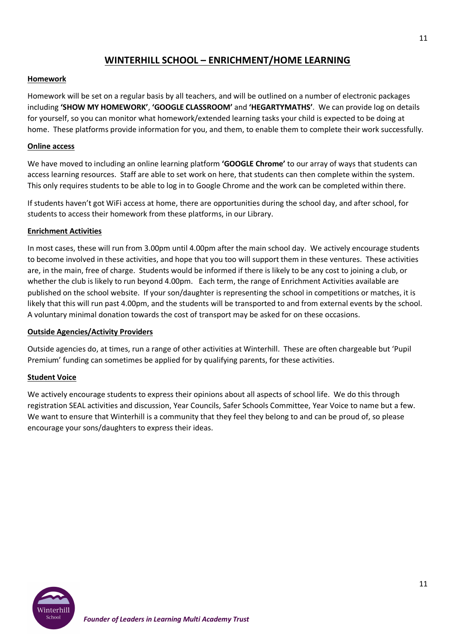# **WINTERHILL SCHOOL – ENRICHMENT/HOME LEARNING**

## **Homework**

Homework will be set on a regular basis by all teachers, and will be outlined on a number of electronic packages including **'SHOW MY HOMEWORK'**, **'GOOGLE CLASSROOM'** and **'HEGARTYMATHS'**. We can provide log on details for yourself, so you can monitor what homework/extended learning tasks your child is expected to be doing at home. These platforms provide information for you, and them, to enable them to complete their work successfully.

## **Online access**

We have moved to including an online learning platform **'GOOGLE Chrome'** to our array of ways that students can access learning resources. Staff are able to set work on here, that students can then complete within the system. This only requires students to be able to log in to Google Chrome and the work can be completed within there.

If students haven't got WiFi access at home, there are opportunities during the school day, and after school, for students to access their homework from these platforms, in our Library.

#### **Enrichment Activities**

In most cases, these will run from 3.00pm until 4.00pm after the main school day. We actively encourage students to become involved in these activities, and hope that you too will support them in these ventures. These activities are, in the main, free of charge. Students would be informed if there is likely to be any cost to joining a club, or whether the club is likely to run beyond 4.00pm. Each term, the range of Enrichment Activities available are published on the school website. If your son/daughter is representing the school in competitions or matches, it is likely that this will run past 4.00pm, and the students will be transported to and from external events by the school. A voluntary minimal donation towards the cost of transport may be asked for on these occasions.

#### **Outside Agencies/Activity Providers**

Outside agencies do, at times, run a range of other activities at Winterhill. These are often chargeable but 'Pupil Premium' funding can sometimes be applied for by qualifying parents, for these activities.

#### **Student Voice**

We actively encourage students to express their opinions about all aspects of school life. We do this through registration SEAL activities and discussion, Year Councils, Safer Schools Committee, Year Voice to name but a few. We want to ensure that Winterhill is a community that they feel they belong to and can be proud of, so please encourage your sons/daughters to express their ideas.

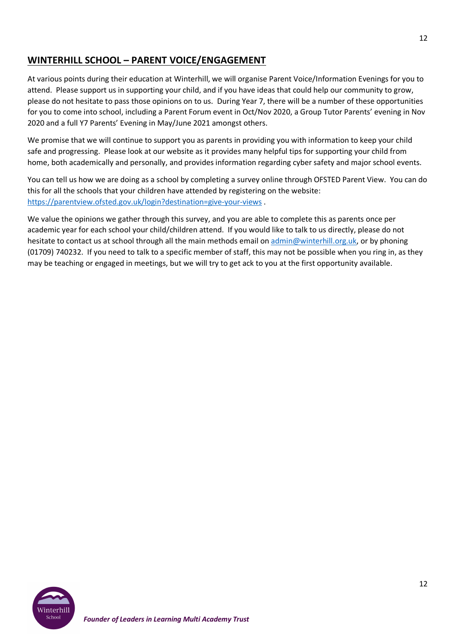# **WINTERHILL SCHOOL – PARENT VOICE/ENGAGEMENT**

At various points during their education at Winterhill, we will organise Parent Voice/Information Evenings for you to attend. Please support us in supporting your child, and if you have ideas that could help our community to grow, please do not hesitate to pass those opinions on to us. During Year 7, there will be a number of these opportunities for you to come into school, including a Parent Forum event in Oct/Nov 2020, a Group Tutor Parents' evening in Nov 2020 and a full Y7 Parents' Evening in May/June 2021 amongst others.

We promise that we will continue to support you as parents in providing you with information to keep your child safe and progressing. Please look at our website as it provides many helpful tips for supporting your child from home, both academically and personally, and provides information regarding cyber safety and major school events.

You can tell us how we are doing as a school by completing a survey online through OFSTED Parent View. You can do this for all the schools that your children have attended by registering on the website: https://parentview.ofsted.gov.uk/login?destination=give-your-views .

We value the opinions we gather through this survey, and you are able to complete this as parents once per academic year for each school your child/children attend. If you would like to talk to us directly, please do not hesitate to contact us at school through all the main methods email on admin@winterhill.org.uk, or by phoning (01709) 740232. If you need to talk to a specific member of staff, this may not be possible when you ring in, as they may be teaching or engaged in meetings, but we will try to get ack to you at the first opportunity available.

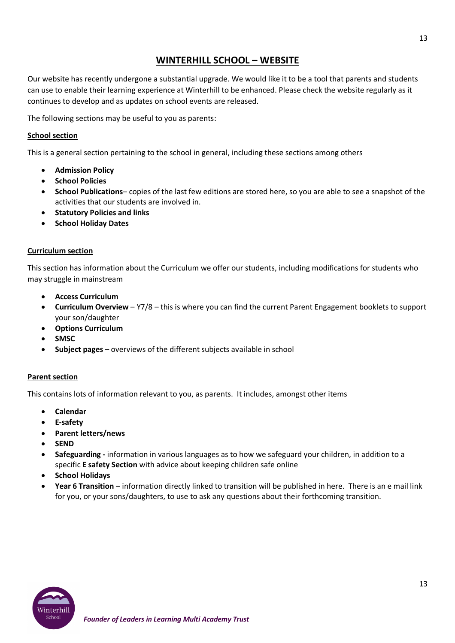## **WINTERHILL SCHOOL – WEBSITE**

Our website has recently undergone a substantial upgrade. We would like it to be a tool that parents and students can use to enable their learning experience at Winterhill to be enhanced. Please check the website regularly as it continues to develop and as updates on school events are released.

The following sections may be useful to you as parents:

#### **School section**

This is a general section pertaining to the school in general, including these sections among others

- **Admission Policy**
- **School Policies**
- **School Publications** copies of the last few editions are stored here, so you are able to see a snapshot of the activities that our students are involved in.
- **Statutory Policies and links**
- **School Holiday Dates**

#### **Curriculum section**

This section has information about the Curriculum we offer our students, including modifications for students who may struggle in mainstream

- **Access Curriculum**
- **Curriculum Overview** Y7/8 this is where you can find the current Parent Engagement booklets to support your son/daughter
- **Options Curriculum**
- **SMSC**
- **Subject pages** overviews of the different subjects available in school

#### **Parent section**

This contains lots of information relevant to you, as parents. It includes, amongst other items

- **Calendar**
- **E-safety**
- **Parent letters/news**
- **SEND**
- **Safeguarding -** information in various languages as to how we safeguard your children, in addition to a specific **E safety Section** with advice about keeping children safe online
- **School Holidays**
- **Year 6 Transition** information directly linked to transition will be published in here. There is an e mail link for you, or your sons/daughters, to use to ask any questions about their forthcoming transition.

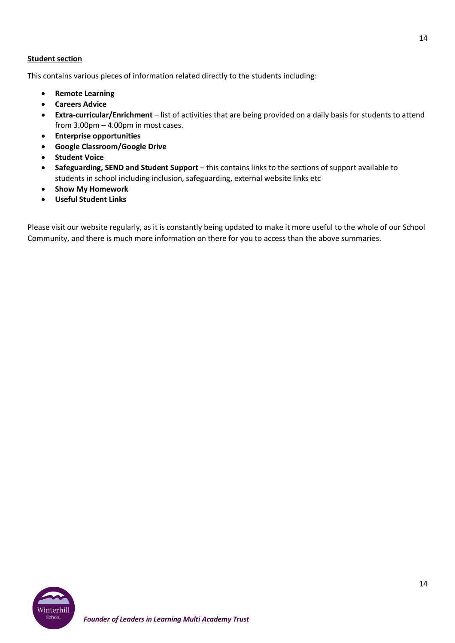## **Student section**

This contains various pieces of information related directly to the students including:

- **Remote Learning**
- **Careers Advice**
- **Extra-curricular/Enrichment** list of activities that are being provided on a daily basis for students to attend from 3.00pm – 4.00pm in most cases.
- **Enterprise opportunities**
- **Google Classroom/Google Drive**
- **Student Voice**
- **Safeguarding, SEND and Student Support** this contains links to the sections of support available to students in school including inclusion, safeguarding, external website links etc
- **Show My Homework**
- **Useful Student Links**

Please visit our website regularly, as it is constantly being updated to make it more useful to the whole of our School Community, and there is much more information on there for you to access than the above summaries.